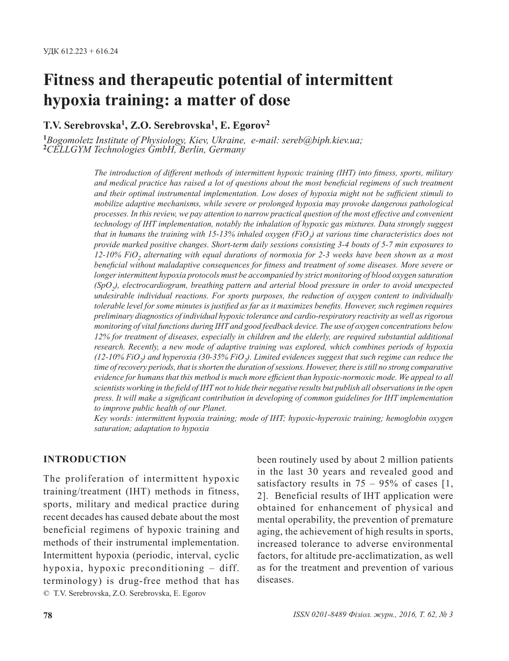# **Fitness and therapeutic potential of intermittent hypoxia training: a matter of dose**

**T.V. Serebrovska1, Z.O. Serebrovska1, E. Egorov2**

**<sup>1</sup>***Bogomoletz Institute of Physiology, Kiev, Ukraine, e-mail: sereb@biph.kiev.ua;* **<sup>2</sup>***CELLGYM Technologies GmbH, Berlin, Germany* 

*The introduction of different methods of intermittent hypoxic training (IHT) into fitness, sports, military and medical practice has raised a lot of questions about the most beneficial regimens of such treatment and their optimal instrumental implementation. Low doses of hypoxia might not be sufficient stimuli to mobilize adaptive mechanisms, while severe or prolonged hypoxia may provoke dangerous pathological processes. In this review, we pay attention to narrow practical question of the most effective and convenient technology of IHT implementation, notably the inhalation of hypoxic gas mixtures. Data strongly suggest that in humans the training with 15-13% inhaled oxygen (FiO2) at various time characteristics does not provide marked positive changes. Short-term daily sessions consisting 3-4 bouts of 5-7 min exposures to 12-10% FiO2 alternating with equal durations of normoxia for 2-3 weeks have been shown as a most beneficial without maladaptive consequences for fitness and treatment of some diseases. More severe or longer intermittent hypoxia protocols must be accompanied by strict monitoring of blood oxygen saturation (SpO2), electrocardiogram, breathing pattern and arterial blood pressure in order to avoid unexpected undesirable individual reactions. For sports purposes, the reduction of oxygen content to individually tolerable level for some minutes is justified as far as it maximizes benefits. However, such regimen requires preliminary diagnostics of individual hypoxic tolerance and cardio-respiratory reactivity as well as rigorous monitoring of vital functions during IHT and good feedback device. The use of oxygen concentrations below 12% for treatment of diseases, especially in children and the elderly, are required substantial additional research. Recently, a new mode of adaptive training was explored, which combines periods of hypoxia (12-10% FiO2) and hyperoxia (30-35% FiO2). Limited evidences suggest that such regime can reduce the time of recovery periods, that is shorten the duration of sessions. However, there is still no strong comparative evidence for humans that this method is much more efficient than hypoxic-normoxic mode. We appeal to all scientists working in the field of IHT not to hide their negative results but publish all observations in the open press. It will make a significant contribution in developing of common guidelines for IHT implementation to improve public health of our Planet.*

*Key words: intermittent hypoxia training; mode of IHT; hypoxic-hyperoxic training; hemoglobin oxygen saturation; adaptation to hypoxia*

## **INTRODUCTION**

© T.V. Serebrovska, Z.O. Serebrovska, E. Egorov The proliferation of intermittent hypoxic training/treatment (IHT) methods in fitness, sports, military and medical practice during recent decades has caused debate about the most beneficial regimens of hypoxic training and methods of their instrumental implementation. Intermittent hypoxia (periodic, interval, cyclic hypoxia, hypoxic preconditioning – diff. terminology) is drug-free method that has been routinely used by about 2 million patients in the last 30 years and revealed good and satisfactory results in  $75 - 95\%$  of cases [1, 2]. Beneficial results of IHT application were obtained for enhancement of physical and mental operability, the prevention of premature aging, the achievement of high results in sports, increased tolerance to adverse environmental factors, for altitude pre-acclimatization, as well as for the treatment and prevention of various diseases.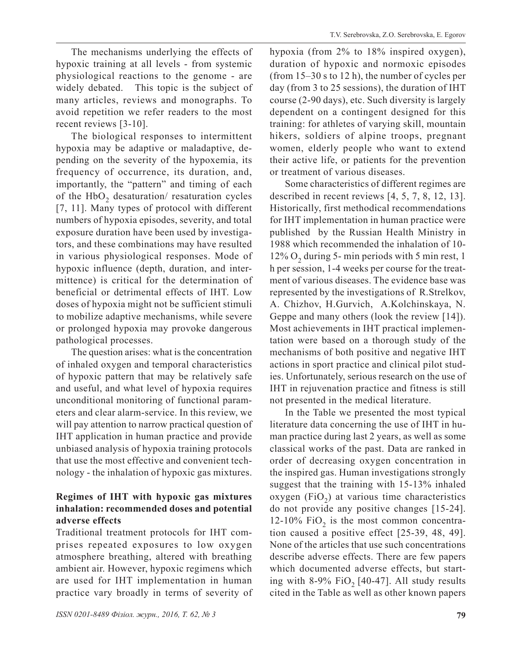The mechanisms underlying the effects of hypoxic training at all levels - from systemic physiological reactions to the genome - are widely debated. This topic is the subject of many articles, reviews and monographs. To avoid repetition we refer readers to the most recent reviews [3-10].

The biological responses to intermittent hypoxia may be adaptive or maladaptive, depending on the severity of the hypoxemia, its frequency of occurrence, its duration, and, importantly, the "pattern" and timing of each of the HbO<sub>2</sub> desaturation/ resaturation cycles [7, 11]. Many types of protocol with different numbers of hypoxia episodes, severity, and total exposure duration have been used by investigators, and these combinations may have resulted in various physiological responses. Mode of hypoxic influence (depth, duration, and intermittence) is critical for the determination of beneficial or detrimental effects of IHT. Low doses of hypoxia might not be sufficient stimuli to mobilize adaptive mechanisms, while severe or prolonged hypoxia may provoke dangerous pathological processes.

The question arises: what is the concentration of inhaled oxygen and temporal characteristics of hypoxic pattern that may be relatively safe and useful, and what level of hypoxia requires unconditional monitoring of functional parameters and clear alarm-service. In this review, we will pay attention to narrow practical question of IHT application in human practice and provide unbiased analysis of hypoxia training protocols that use the most effective and convenient technology - the inhalation of hypoxic gas mixtures.

# **Regimes of IHT with hypoxic gas mixtures inhalation: recommended doses and potential adverse effects**

Traditional treatment protocols for IHT comprises repeated exposures to low oxygen atmosphere breathing, altered with breathing ambient air. However, hypoxic regimens which are used for IHT implementation in human practice vary broadly in terms of severity of hypoxia (from 2% to 18% inspired oxygen), duration of hypoxic and normoxic episodes (from 15–30 s to 12 h), the number of cycles per day (from 3 to 25 sessions), the duration of IHT course (2-90 days), etc. Such diversity is largely dependent on a contingent designed for this training: for athletes of varying skill, mountain hikers, soldiers of alpine troops, pregnant women, elderly people who want to extend their active life, or patients for the prevention or treatment of various diseases.

Some characteristics of different regimes are described in recent reviews [4, 5, 7, 8, 12, 13]. Historically, first methodical recommendations for IHT implementation in human practice were published by the Russian Health Ministry in 1988 which recommended the inhalation of 10-  $12\%$  O<sub>2</sub> during 5- min periods with 5 min rest, 1 h per session, 1-4 weeks per course for the treatment of various diseases. The evidence base was represented by the investigations of R.Strelkov, A. Chizhov, H.Gurvich, A.Kolchinskaya, N. Geppe and many others (look the review [14]). Most achievements in IHT practical implementation were based on a thorough study of the mechanisms of both positive and negative IHT actions in sport practice and clinical pilot studies. Unfortunately, serious research on the use of IHT in rejuvenation practice and fitness is still not presented in the medical literature.

In the Table we presented the most typical literature data concerning the use of IHT in human practice during last 2 years, as well as some classical works of the past. Data are ranked in order of decreasing oxygen concentration in the inspired gas. Human investigations strongly suggest that the training with 15-13% inhaled oxygen  $(FiO<sub>2</sub>)$  at various time characteristics do not provide any positive changes [15-24]. 12-10% FiO<sub>2</sub> is the most common concentration caused a positive effect [25-39, 48, 49]. None of the articles that use such concentrations describe adverse effects. There are few papers which documented adverse effects, but starting with 8-9%  $FiO<sub>2</sub>$  [40-47]. All study results cited in the Table as well as other known papers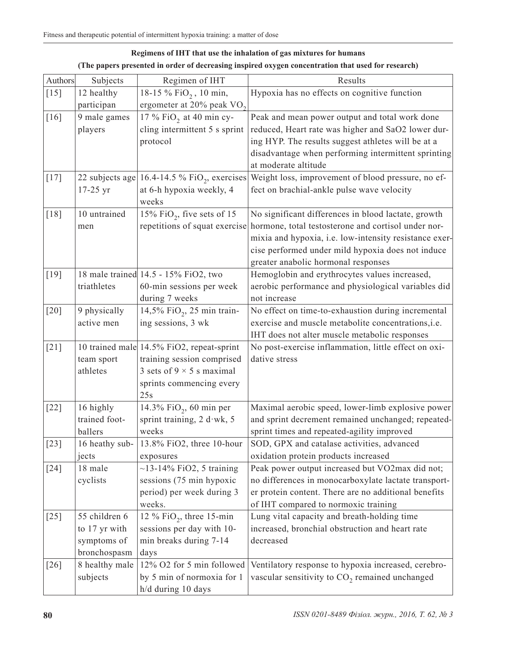| <b>Authors</b> | Subjects                    | Regimen of IHT                                              | Results                                                                                        |
|----------------|-----------------------------|-------------------------------------------------------------|------------------------------------------------------------------------------------------------|
| $[15]$         | 12 healthy                  | 18-15 % FiO <sub>2</sub> , 10 min,                          | Hypoxia has no effects on cognitive function                                                   |
|                | participan                  | ergometer at 20% peak VO <sub>2</sub>                       |                                                                                                |
| $[16]$         | 9 male games                | 17 % FiO <sub>2</sub> at 40 min cy-                         | Peak and mean power output and total work done                                                 |
|                | players                     | cling intermittent 5 s sprint                               | reduced, Heart rate was higher and SaO2 lower dur-                                             |
|                |                             | protocol                                                    | ing HYP. The results suggest athletes will be at a                                             |
|                |                             |                                                             | disadvantage when performing intermittent sprinting                                            |
|                |                             |                                                             | at moderate altitude                                                                           |
| $[17]$         |                             | 22 subjects age $16.4$ -14.5 % FiO <sub>2</sub> , exercises | Weight loss, improvement of blood pressure, no ef-                                             |
|                | $17-25$ yr                  | at 6-h hypoxia weekly, 4                                    | fect on brachial-ankle pulse wave velocity                                                     |
|                |                             | weeks                                                       |                                                                                                |
| $[18]$         | 10 untrained                | 15% FiO <sub>2</sub> , five sets of 15                      | No significant differences in blood lactate, growth                                            |
|                | men                         | repetitions of squat exercise                               | hormone, total testosterone and cortisol under nor-                                            |
|                |                             |                                                             | mixia and hypoxia, i.e. low-intensity resistance exer-                                         |
|                |                             |                                                             | cise performed under mild hypoxia does not induce                                              |
|                |                             |                                                             | greater anabolic hormonal responses                                                            |
| $[19]$         |                             | 18 male trained 14.5 - 15% FiO2, two                        | Hemoglobin and erythrocytes values increased,                                                  |
|                | triathletes                 | 60-min sessions per week                                    | aerobic performance and physiological variables did                                            |
|                |                             | during 7 weeks                                              | not increase                                                                                   |
| $[20]$         | 9 physically                | 14,5% FiO <sub>2</sub> , 25 min train-                      | No effect on time-to-exhaustion during incremental                                             |
|                | active men                  | ing sessions, 3 wk                                          | exercise and muscle metabolite concentrations, i.e.                                            |
|                |                             |                                                             | IHT does not alter muscle metabolic responses                                                  |
| $[21]$         |                             | 10 trained male 14.5% FiO2, repeat-sprint                   | No post-exercise inflammation, little effect on oxi-                                           |
|                | team sport                  | training session comprised                                  | dative stress                                                                                  |
|                | athletes                    | 3 sets of $9 \times 5$ s maximal                            |                                                                                                |
|                |                             | sprints commencing every                                    |                                                                                                |
|                |                             | 25s                                                         |                                                                                                |
| $[22]$         | 16 highly                   | 14.3% FiO <sub>2</sub> , 60 min per                         | Maximal aerobic speed, lower-limb explosive power                                              |
|                | trained foot-               | sprint training, 2 d wk, 5                                  | and sprint decrement remained unchanged; repeated-                                             |
|                | ballers                     | weeks                                                       | sprint times and repeated-agility improved                                                     |
| $[23]$         | 16 heathy sub-              | 13.8% FiO2, three 10-hour                                   | SOD, GPX and catalase activities, advanced                                                     |
|                | jects                       | exposures                                                   | oxidation protein products increased                                                           |
| $[24]$         | 18 male                     | $\sim$ 13-14% FiO2, 5 training                              | Peak power output increased but VO2max did not;                                                |
|                | cyclists                    | sessions (75 min hypoxic                                    | no differences in monocarboxylate lactate transport-                                           |
|                |                             | period) per week during 3                                   | er protein content. There are no additional benefits                                           |
|                |                             | weeks.                                                      | of IHT compared to normoxic training                                                           |
| $[25]$         | 55 children 6               | 12 % $FiO_2$ , three 15-min                                 | Lung vital capacity and breath-holding time<br>increased, bronchial obstruction and heart rate |
|                | to 17 yr with               | sessions per day with 10-                                   | decreased                                                                                      |
|                | symptoms of<br>bronchospasm | min breaks during 7-14                                      |                                                                                                |
|                |                             | days<br>12% O2 for 5 min followed                           |                                                                                                |
| $[26]$         | 8 healthy male              |                                                             | Ventilatory response to hypoxia increased, cerebro-                                            |
|                | subjects                    | by 5 min of normoxia for 1                                  | vascular sensitivity to CO <sub>2</sub> remained unchanged                                     |
|                |                             | h/d during 10 days                                          |                                                                                                |

## **Regimens of IHT that use the inhalation of gas mixtures for humans (The papers presented in order of decreasing inspired oxygen concentration that used for research)**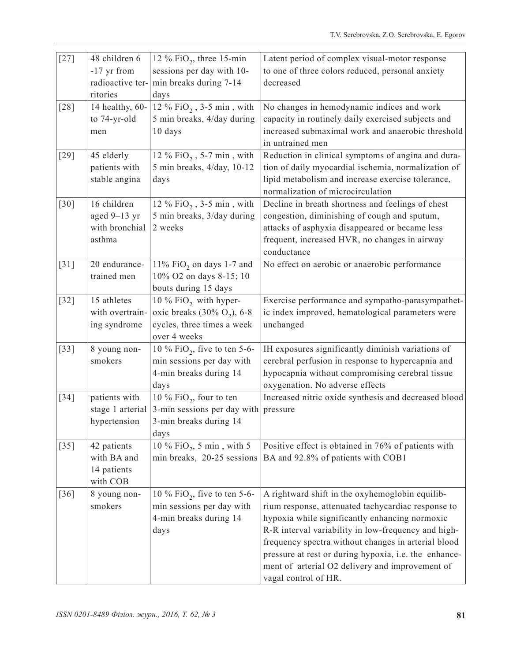| $[27]$ | 48 children 6    | 12 % FiO <sub>2</sub> , three 15-min     | Latent period of complex visual-motor response                                                             |
|--------|------------------|------------------------------------------|------------------------------------------------------------------------------------------------------------|
|        | -17 yr from      | sessions per day with 10-                | to one of three colors reduced, personal anxiety                                                           |
|        | radioactive ter- | min breaks during 7-14                   | decreased                                                                                                  |
|        | ritories         | days                                     |                                                                                                            |
| $[28]$ | 14 healthy, 60-  | 12 % $FiO_2$ , 3-5 min, with             | No changes in hemodynamic indices and work                                                                 |
|        | to 74-yr-old     | 5 min breaks, 4/day during               | capacity in routinely daily exercised subjects and                                                         |
|        | men              | 10 days                                  | increased submaximal work and anaerobic threshold                                                          |
|        |                  |                                          | in untrained men                                                                                           |
| $[29]$ | 45 elderly       | 12 % $FiO_2$ , 5-7 min, with             | Reduction in clinical symptoms of angina and dura-                                                         |
|        | patients with    | 5 min breaks, 4/day, 10-12               | tion of daily myocardial ischemia, normalization of                                                        |
|        | stable angina    | days                                     | lipid metabolism and increase exercise tolerance,                                                          |
|        |                  |                                          | normalization of microcirculation                                                                          |
| $[30]$ | 16 children      | 12 % $\mathrm{FiO}_2$ , 3-5 min , with   | Decline in breath shortness and feelings of chest                                                          |
|        | aged 9-13 yr     | 5 min breaks, 3/day during               | congestion, diminishing of cough and sputum,                                                               |
|        | with bronchial   | 2 weeks                                  | attacks of asphyxia disappeared or became less                                                             |
|        | asthma           |                                          | frequent, increased HVR, no changes in airway                                                              |
|        |                  |                                          | conductance                                                                                                |
| $[31]$ | 20 endurance-    | 11% FiO <sub>2</sub> on days 1-7 and     | No effect on aerobic or anaerobic performance                                                              |
|        | trained men      | 10% O2 on days 8-15; 10                  |                                                                                                            |
|        |                  | bouts during 15 days                     |                                                                                                            |
| $[32]$ | 15 athletes      | 10 % FiO <sub>2</sub> with hyper-        | Exercise performance and sympatho-parasympathet-                                                           |
|        | with overtrain-  | oxic breaks $(30\% \text{ O}_2)$ , 6-8   | ic index improved, hematological parameters were                                                           |
|        | ing syndrome     | cycles, three times a week               | unchanged                                                                                                  |
|        |                  | over 4 weeks                             |                                                                                                            |
| $[33]$ | 8 young non-     | 10 % $FiO_2$ , five to ten 5-6-          | IH exposures significantly diminish variations of                                                          |
|        | smokers          | min sessions per day with                | cerebral perfusion in response to hypercapnia and                                                          |
|        |                  | 4-min breaks during 14                   | hypocapnia without compromising cerebral tissue                                                            |
|        |                  | days                                     | oxygenation. No adverse effects                                                                            |
| $[34]$ | patients with    | 10 % FiO <sub>2</sub> , four to ten      | Increased nitric oxide synthesis and decreased blood                                                       |
|        | stage 1 arterial | 3-min sessions per day with              | pressure                                                                                                   |
|        | hypertension     | 3-min breaks during 14                   |                                                                                                            |
|        |                  | days                                     |                                                                                                            |
| $[35]$ | 42 patients      | 10 % $FiO_2$ , 5 min, with 5             | Positive effect is obtained in 76% of patients with                                                        |
|        | with BA and      |                                          | min breaks, 20-25 sessions   BA and 92.8% of patients with COB1                                            |
|        | 14 patients      |                                          |                                                                                                            |
|        | with COB         |                                          |                                                                                                            |
| $[36]$ | 8 young non-     | 10 % FiO <sub>2</sub> , five to ten 5-6- | A rightward shift in the oxyhemoglobin equilib-                                                            |
|        | smokers          | min sessions per day with                | rium response, attenuated tachycardiac response to                                                         |
|        |                  | 4-min breaks during 14                   | hypoxia while significantly enhancing normoxic                                                             |
|        |                  | days                                     | R-R interval variability in low-frequency and high-<br>frequency spectra without changes in arterial blood |
|        |                  |                                          | pressure at rest or during hypoxia, i.e. the enhance-                                                      |
|        |                  |                                          | ment of arterial O2 delivery and improvement of                                                            |
|        |                  |                                          | vagal control of HR.                                                                                       |
|        |                  |                                          |                                                                                                            |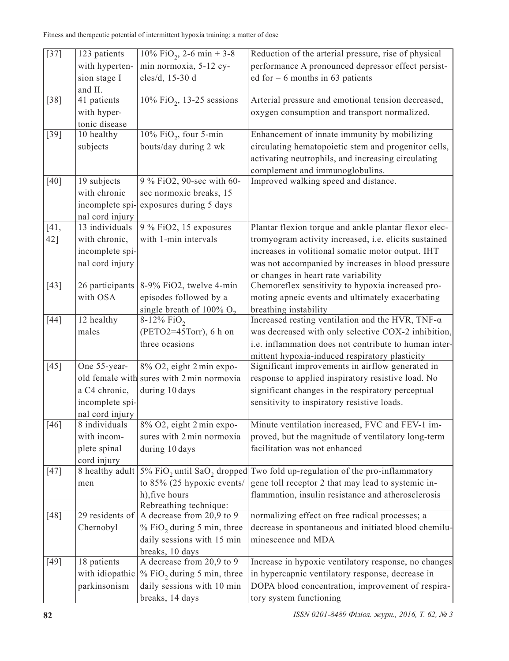| $\overline{[}37]$  | 123 patients                     | $10\%$ FiO <sub>2</sub> , 2-6 min + 3-8                               | Reduction of the arterial pressure, rise of physical     |
|--------------------|----------------------------------|-----------------------------------------------------------------------|----------------------------------------------------------|
|                    | with hyperten-                   | min normoxia, 5-12 cy-                                                | performance A pronounced depressor effect persist-       |
|                    | sion stage I                     | cles/d, 15-30 d                                                       | ed for $-6$ months in 63 patients                        |
|                    | and II.                          |                                                                       |                                                          |
| $[38]$             | 41 patients                      | $10\%$ FiO <sub>2</sub> , 13-25 sessions                              | Arterial pressure and emotional tension decreased,       |
|                    | with hyper-                      |                                                                       | oxygen consumption and transport normalized.             |
|                    | tonic disease                    |                                                                       |                                                          |
| $[39]$             | 10 healthy                       | $10\%$ FiO <sub>2</sub> , four 5-min                                  | Enhancement of innate immunity by mobilizing             |
|                    | subjects                         | bouts/day during 2 wk                                                 | circulating hematopoietic stem and progenitor cells,     |
|                    |                                  |                                                                       | activating neutrophils, and increasing circulating       |
|                    |                                  |                                                                       | complement and immunoglobulins.                          |
| $[40]$             | 19 subjects                      | 9 % FiO2, 90-sec with 60-                                             | Improved walking speed and distance.                     |
|                    | with chronic                     | sec normoxic breaks, 15                                               |                                                          |
|                    | incomplete spi-                  | exposures during 5 days                                               |                                                          |
|                    | nal cord injury                  |                                                                       |                                                          |
| $\overline{[41,]}$ | $13$ individuals                 | 9 % FiO2, 15 exposures                                                | Plantar flexion torque and ankle plantar flexor elec-    |
| 42]                | with chronic,                    | with 1-min intervals                                                  | tromyogram activity increased, i.e. elicits sustained    |
|                    | incomplete spi-                  |                                                                       | increases in volitional somatic motor output. IHT        |
|                    | nal cord injury                  |                                                                       | was not accompanied by increases in blood pressure       |
|                    |                                  |                                                                       | or changes in heart rate variability                     |
| $[43]$             | 26 participants                  | 8-9% FiO2, twelve 4-min                                               | Chemoreflex sensitivity to hypoxia increased pro-        |
|                    | with OSA                         | episodes followed by a                                                | moting apneic events and ultimately exacerbating         |
|                    |                                  | single breath of $100\%$ O <sub>2</sub>                               | breathing instability                                    |
| $[44]$             | 12 healthy                       | 8-12% FiO <sub>2</sub>                                                | Increased resting ventilation and the HVR, TNF- $\alpha$ |
|                    | males                            | $(PETO2=45Torr)$ , 6 h on                                             | was decreased with only selective COX-2 inhibition,      |
|                    |                                  | three ocasions                                                        | i.e. inflammation does not contribute to human inter-    |
|                    | One 55-year-                     |                                                                       | mittent hypoxia-induced respiratory plasticity           |
| $[45]$             |                                  | 8% O2, eight 2 min expo-<br>old female with sures with 2 min normoxia | Significant improvements in airflow generated in         |
|                    |                                  |                                                                       | response to applied inspiratory resistive load. No       |
|                    | a C4 chronic,                    | during 10 days                                                        | significant changes in the respiratory perceptual        |
|                    | incomplete spi-                  |                                                                       | sensitivity to inspiratory resistive loads.              |
| $[46]$             | nal cord injury<br>8 individuals | 8% O2, eight 2 min expo-                                              | Minute ventilation increased, FVC and FEV-1 im-          |
|                    | with incom-                      | sures with 2 min normoxia                                             | proved, but the magnitude of ventilatory long-term       |
|                    | plete spinal                     | during 10 days                                                        | facilitation was not enhanced                            |
|                    | cord injury                      |                                                                       |                                                          |
| $[47]$             | 8 healthy adult                  | 5% FiO <sub>2</sub> until SaO <sub>2</sub> dropped                    | Two fold up-regulation of the pro-inflammatory           |
|                    | men                              | to 85% (25 hypoxic events/                                            | gene toll receptor 2 that may lead to systemic in-       |
|                    |                                  | h), five hours                                                        | flammation, insulin resistance and atherosclerosis       |
|                    |                                  | Rebreathing technique:                                                |                                                          |
| $[48]$             | 29 residents of                  | A decrease from 20,9 to 9                                             | normalizing effect on free radical processes; a          |
|                    | Chernobyl                        | % FiO <sub>2</sub> during 5 min, three                                | decrease in spontaneous and initiated blood chemilu-     |
|                    |                                  | daily sessions with 15 min                                            | minescence and MDA                                       |
|                    |                                  | breaks, 10 days                                                       |                                                          |
| $[49]$             | 18 patients                      | A decrease from 20,9 to 9                                             | Increase in hypoxic ventilatory response, no changes     |
|                    | with idiopathic                  | $%$ FiO <sub>2</sub> during 5 min, three                              | in hypercapnic ventilatory response, decrease in         |
|                    | parkinsonism                     | daily sessions with 10 min                                            | DOPA blood concentration, improvement of respira-        |
|                    |                                  | breaks, 14 days                                                       | tory system functioning                                  |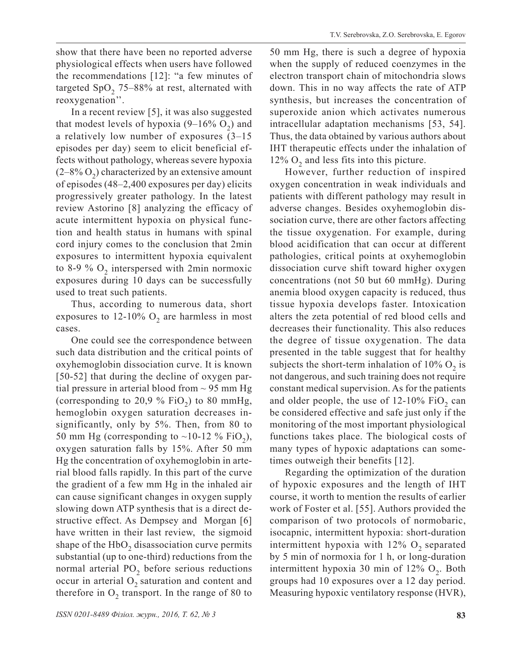show that there have been no reported adverse physiological effects when users have followed the recommendations [12]: "a few minutes of targeted  $SpO<sub>2</sub>$  75–88% at rest, alternated with reoxygenation''.

In a recent review [5], it was also suggested that modest levels of hypoxia  $(9-16\% \text{ O}_2)$  and a relatively low number of exposures (3–15 episodes per day) seem to elicit beneficial effects without pathology, whereas severe hypoxia  $(2-8\% \text{ O}_2)$  characterized by an extensive amount of episodes (48–2,400 exposures per day) elicits progressively greater pathology. In the latest review Astorino [8] analyzing the efficacy of acute intermittent hypoxia on physical function and health status in humans with spinal cord injury comes to the conclusion that 2min exposures to intermittent hypoxia equivalent to 8-9  $\%$  O<sub>2</sub> interspersed with 2min normoxic exposures during 10 days can be successfully used to treat such patients.

Thus, according to numerous data, short exposures to 12-10%  $O_2$  are harmless in most cases.

One could see the correspondence between such data distribution and the critical points of oxyhemoglobin dissociation curve. It is known [50-52] that during the decline of oxygen partial pressure in arterial blood from  $\sim$  95 mm Hg (corresponding to 20,9 % FiO<sub>2</sub>) to 80 mmHg, hemoglobin oxygen saturation decreases insignificantly, only by 5%. Then, from 80 to 50 mm Hg (corresponding to  $\sim$ 10-12 % FiO<sub>2</sub>), oxygen saturation falls by 15%. After 50 mm Hg the concentration of oxyhemoglobin in arterial blood falls rapidly. In this part of the curve the gradient of a few mm Hg in the inhaled air can cause significant changes in oxygen supply slowing down ATP synthesis that is a direct destructive effect. As Dempsey and Morgan [6] have written in their last review, the sigmoid shape of the  $HbO<sub>2</sub>$  disassociation curve permits substantial (up to one-third) reductions from the normal arterial  $PO<sub>2</sub>$  before serious reductions occur in arterial  $O_2$  saturation and content and therefore in  $O_2$  transport. In the range of 80 to

50 mm Hg, there is such a degree of hypoxia when the supply of reduced coenzymes in the electron transport chain of mitochondria slows down. This in no way affects the rate of ATP synthesis, but increases the concentration of superoxide anion which activates numerous intracellular adaptation mechanisms [53, 54]. Thus, the data obtained by various authors about IHT therapeutic effects under the inhalation of 12%  $O_2$  and less fits into this picture.

However, further reduction of inspired oxygen concentration in weak individuals and patients with different pathology may result in adverse changes. Besides oxyhemoglobin dissociation curve, there are other factors affecting the tissue oxygenation. For example, during blood acidification that can occur at different pathologies, critical points at oxyhemoglobin dissociation curve shift toward higher oxygen concentrations (not 50 but 60 mmHg). During anemia blood oxygen capacity is reduced, thus tissue hypoxia develops faster. Intoxication alters the zeta potential of red blood cells and decreases their functionality. This also reduces the degree of tissue oxygenation. The data presented in the table suggest that for healthy subjects the short-term inhalation of  $10\%$  O<sub>2</sub> is not dangerous, and such training does not require constant medical supervision. As for the patients and older people, the use of  $12-10\%$  FiO<sub>2</sub> can be considered effective and safe just only if the monitoring of the most important physiological functions takes place. The biological costs of many types of hypoxic adaptations can sometimes outweigh their benefits [12].

Regarding the optimization of the duration of hypoxic exposures and the length of IHT course, it worth to mention the results of earlier work of Foster et al. [55]. Authors provided the comparison of two protocols of normobaric, isocapnic, intermittent hypoxia: short-duration intermittent hypoxia with  $12\%$  O<sub>2</sub> separated by 5 min of normoxia for 1 h, or long-duration intermittent hypoxia 30 min of  $12\%$  O<sub>2</sub>. Both groups had 10 exposures over a 12 day period. Measuring hypoxic ventilatory response (HVR),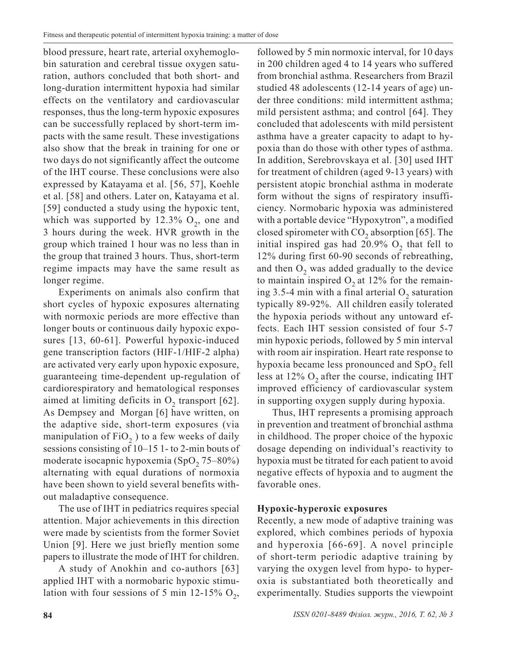blood pressure, heart rate, arterial oxyhemoglobin saturation and cerebral tissue oxygen saturation, authors concluded that both short- and long-duration intermittent hypoxia had similar effects on the ventilatory and cardiovascular responses, thus the long-term hypoxic exposures can be successfully replaced by short-term impacts with the same result. These investigations also show that the break in training for one or two days do not significantly affect the outcome of the IHT course. These conclusions were also expressed by Katayama et al. [56, 57], Koehle et al. [58] and others. Later on, Katayama et al. [59] conducted a study using the hypoxic tent, which was supported by 12.3%  $O_2$ , one and 3 hours during the week. HVR growth in the group which trained 1 hour was no less than in the group that trained 3 hours. Thus, short-term regime impacts may have the same result as longer regime.

Experiments on animals also confirm that short cycles of hypoxic exposures alternating with normoxic periods are more effective than longer bouts or continuous daily hypoxic exposures [13, 60-61]. Powerful hypoxic-induced gene transcription factors (HIF-1/HIF-2 alpha) are activated very early upon hypoxic exposure, guaranteeing time-dependent up-regulation of cardiorespiratory and hematological responses aimed at limiting deficits in  $O<sub>2</sub>$  transport [62]. As Dempsey and Morgan [6] have written, on the adaptive side, short-term exposures (via manipulation of  $FiO<sub>2</sub>$ ) to a few weeks of daily sessions consisting of 10–15 1- to 2-min bouts of moderate isocapnic hypoxemia  $(SpO, 75-80%)$ alternating with equal durations of normoxia have been shown to yield several benefits without maladaptive consequence.

The use of IHT in pediatrics requires special attention. Major achievements in this direction were made by scientists from the former Soviet Union [9]. Here we just briefly mention some papers to illustrate the mode of IHT for children.

A study of Anokhin and co-authors [63] applied IHT with a normobaric hypoxic stimulation with four sessions of 5 min 12-15%  $O_2$ ,

followed by 5 min normoxic interval, for 10 days in 200 children aged 4 to 14 years who suffered from bronchial asthma. Researchers from Brazil studied 48 adolescents (12-14 years of age) under three conditions: mild intermittent asthma; mild persistent asthma; and control [64]. They concluded that adolescents with mild persistent asthma have a greater capacity to adapt to hypoxia than do those with other types of asthma. In addition, Serebrovskaya et al. [30] used IHT for treatment of children (aged 9-13 years) with persistent atopic bronchial asthma in moderate form without the signs of respiratory insufficiency. Normobaric hypoxia was administered with a portable device "Hypoxytron", a modified closed spirometer with  $CO<sub>2</sub>$ , absorption [65]. The initial inspired gas had  $20.9\%$  O<sub>2</sub> that fell to 12% during first 60-90 seconds of rebreathing, and then  $O_2$  was added gradually to the device to maintain inspired  $O_2$  at 12% for the remaining 3.5-4 min with a final arterial  $O_2$  saturation typically 89-92%. All children easily tolerated the hypoxia periods without any untoward effects. Each IHT session consisted of four 5-7 min hypoxic periods, followed by 5 min interval with room air inspiration. Heart rate response to hypoxia became less pronounced and SpO<sub>2</sub> fell less at  $12\%$  O<sub>2</sub> after the course, indicating IHT improved efficiency of cardiovascular system in supporting oxygen supply during hypoxia.

Thus, IHT represents a promising approach in prevention and treatment of bronchial asthma in childhood. The proper choice of the hypoxic dosage depending on individual's reactivity to hypoxia must be titrated for each patient to avoid negative effects of hypoxia and to augment the favorable ones.

## **Hypoxic-hyperoxic exposures**

Recently, a new mode of adaptive training was explored, which combines periods of hypoxia and hyperoxia [66-69]. A novel principle of short-term periodic adaptive training by varying the oxygen level from hypo- to hyperoxia is substantiated both theoretically and experimentally. Studies supports the viewpoint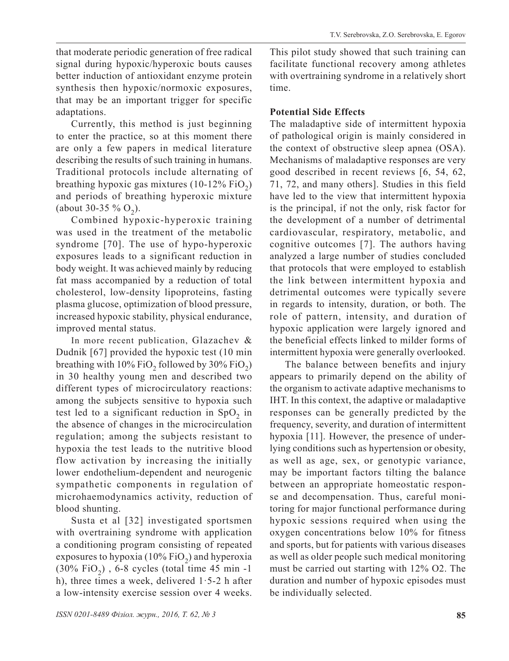that moderate periodic generation of free radical signal during hypoxic/hyperoxic bouts causes better induction of antioxidant enzyme protein synthesis then hypoxic/normoxic exposures, that may be an important trigger for specific adaptations.

Currently, this method is just beginning to enter the practice, so at this moment there are only a few papers in medical literature describing the results of such training in humans. Traditional protocols include alternating of breathing hypoxic gas mixtures  $(10-12\% \text{ FiO}_2)$ and periods of breathing hyperoxic mixture (about 30-35 %  $O_2$ ).

Combined hypoxic-hyperoxic training was used in the treatment of the metabolic syndrome [70]. The use of hypo-hyperoxic exposures leads to a significant reduction in body weight. It was achieved mainly by reducing fat mass accompanied by a reduction of total cholesterol, low-density lipoproteins, fasting plasma glucose, optimization of blood pressure, increased hypoxic stability, physical endurance, improved mental status.

In more recent publication, Glazachev & Dudnik [67] provided the hypoxic test (10 min breathing with 10% FiO<sub>2</sub> followed by 30% FiO<sub>2</sub>) in 30 healthy young men and described two different types of microcirculatory reactions: among the subjects sensitive to hypoxia such test led to a significant reduction in  $SpO<sub>2</sub>$  in the absence of changes in the microcirculation regulation; among the subjects resistant to hypoxia the test leads to the nutritive blood flow activation by increasing the initially lower endothelium-dependent and neurogenic sympathetic components in regulation of microhaemodynamics activity, reduction of blood shunting.

Susta et al [32] investigated sportsmen with overtraining syndrome with application a conditioning program consisting of repeated exposures to hypoxia (10% FiO<sub>2</sub>) and hyperoxia  $(30\% \text{ FiO}_2)$ , 6-8 cycles (total time 45 min -1) h), three times a week, delivered  $1.5-2$  h after a low-intensity exercise session over 4 weeks. This pilot study showed that such training can facilitate functional recovery among athletes with overtraining syndrome in a relatively short time.

# **Potential Side Effects**

The maladaptive side of intermittent hypoxia of pathological origin is mainly considered in the context of obstructive sleep apnea (OSA). Mechanisms of maladaptive responses are very good described in recent reviews [6, 54, 62, 71, 72, and many others]. Studies in this field have led to the view that intermittent hypoxia is the principal, if not the only, risk factor for the development of a number of detrimental cardiovascular, respiratory, metabolic, and cognitive outcomes [7]. The authors having analyzed a large number of studies concluded that protocols that were employed to establish the link between intermittent hypoxia and detrimental outcomes were typically severe in regards to intensity, duration, or both. The role of pattern, intensity, and duration of hypoxic application were largely ignored and the beneficial effects linked to milder forms of intermittent hypoxia were generally overlooked.

The balance between benefits and injury appears to primarily depend on the ability of the organism to activate adaptive mechanisms to IHT. In this context, the adaptive or maladaptive responses can be generally predicted by the frequency, severity, and duration of intermittent hypoxia [11]. However, the presence of underlying conditions such as hypertension or obesity, as well as age, sex, or genotypic variance, may be important factors tilting the balance between an appropriate homeostatic response and decompensation. Thus, careful monitoring for major functional performance during hypoxic sessions required when using the oxygen concentrations below 10% for fitness and sports, but for patients with various diseases as well as older people such medical monitoring must be carried out starting with 12% O2. The duration and number of hypoxic episodes must be individually selected.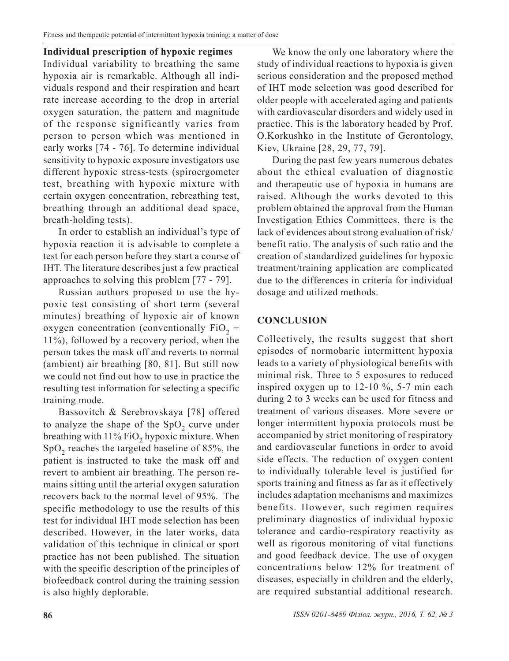**Individual prescription of hypoxic regimes** Individual variability to breathing the same hypoxia air is remarkable. Although all individuals respond and their respiration and heart rate increase according to the drop in arterial oxygen saturation, the pattern and magnitude of the response significantly varies from person to person which was mentioned in early works [74 - 76]. To determine individual sensitivity to hypoxic exposure investigators use different hypoxic stress-tests (spiroergometer test, breathing with hypoxic mixture with certain oxygen concentration, rebreathing test, breathing through an additional dead space, breath-holding tests).

In order to establish an individual's type of hypoxia reaction it is advisable to complete a test for each person before they start a course of IHT. The literature describes just a few practical approaches to solving this problem [77 - 79].

Russian authors proposed to use the hypoxic test consisting of short term (several minutes) breathing of hypoxic air of known oxygen concentration (conventionally  $FiO<sub>2</sub>$  = 11%), followed by a recovery period, when the person takes the mask off and reverts to normal (ambient) air breathing [80, 81]. But still now we could not find out how to use in practice the resulting test information for selecting a specific training mode.

Bassovitch & Serebrovskaya [78] offered to analyze the shape of the  $SpO<sub>2</sub>$  curve under breathing with  $11\%$  FiO<sub>2</sub> hypoxic mixture. When  $SpO<sub>2</sub>$  reaches the targeted baseline of 85%, the patient is instructed to take the mask off and revert to ambient air breathing. The person remains sitting until the arterial oxygen saturation recovers back to the normal level of 95%. The specific methodology to use the results of this test for individual IHT mode selection has been described. However, in the later works, data validation of this technique in clinical or sport practice has not been published. The situation with the specific description of the principles of biofeedback control during the training session is also highly deplorable.

We know the only one laboratory where the study of individual reactions to hypoxia is given serious consideration and the proposed method of IHT mode selection was good described for older people with accelerated aging and patients with cardiovascular disorders and widely used in practice. This is the laboratory headed by Prof. O.Korkushko in the Institute of Gerontology, Kiev, Ukraine [28, 29, 77, 79].

During the past few years numerous debates about the ethical evaluation of diagnostic and therapeutic use of hypoxia in humans are raised. Although the works devoted to this problem obtained the approval from the Human Investigation Ethics Committees, there is the lack of evidences about strong evaluation of risk/ benefit ratio. The analysis of such ratio and the creation of standardized guidelines for hypoxic treatment/training application are complicated due to the differences in criteria for individual dosage and utilized methods.

## **CONCLUSION**

Collectively, the results suggest that short episodes of normobaric intermittent hypoxia leads to a variety of physiological benefits with minimal risk. Three to 5 exposures to reduced inspired oxygen up to 12-10 %, 5-7 min each during 2 to 3 weeks can be used for fitness and treatment of various diseases. More severe or longer intermittent hypoxia protocols must be accompanied by strict monitoring of respiratory and cardiovascular functions in order to avoid side effects. The reduction of oxygen content to individually tolerable level is justified for sports training and fitness as far as it effectively includes adaptation mechanisms and maximizes benefits. However, such regimen requires preliminary diagnostics of individual hypoxic tolerance and cardio-respiratory reactivity as well as rigorous monitoring of vital functions and good feedback device. The use of oxygen concentrations below 12% for treatment of diseases, especially in children and the elderly, are required substantial additional research.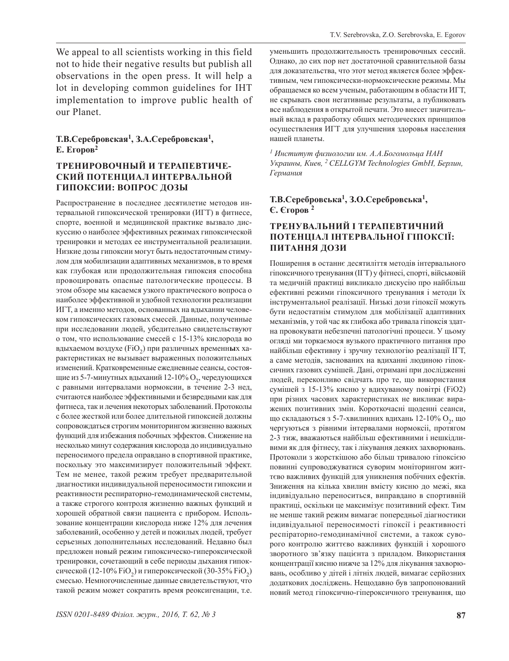We appeal to all scientists working in this field not to hide their negative results but publish all observations in the open press. It will help a lot in developing common guidelines for IHT implementation to improve public health of our Planet.

#### **Т.В.Серебровская1, З.А.Серебровская1, Е. Егоров2**

## **ТРЕНИРОВОЧНЫЙ И ТЕРАПЕВТИЧЕ-СКИЙ ПОТЕНЦИАЛ ИНТЕРВАЛЬНОЙ ГИПОКСИИ: ВОПРОС ДОЗЫ**

Распространение в последнее десятилетие методов интервальной гипоксической тренировки (ИГТ) в фитнесе, спорте, военной и медицинской практике вызвало дискуссию о наиболее эффективных режимах гипоксической тренировки и методах ее инструментальной реализации. Низкие дозы гипоксии могут быть недостаточным стимулом для мобилизации адаптивных механизмов, в то время как глубокая или продолжительная гипоксия способна провоцировать опасные патологические процессы. В этом обзоре мы касаемся узкого практического вопроса о наиболее эффективной и удобной технологии реализации ИГТ, а именно методов, основанных на вдыхании человеком гипоксических газовых смесей. Данные, полученные при исследовании людей, убедительно свидетельствуют о том, что использование смесей с 15-13% кислорода во вдыхаемом воздухе (FiO<sub>2</sub>) при различных временн**ы**х характеристиках не вызывает выраженных положительных изменений. Кратковременные ежедневные сеансы, состоящие из 5-7-минутных вдыханий 12-10%  $O_2$ , чередующихся с равными интервалами нормоксии, в течение 2-3 нед, считаются наиболее эффективными и безвредными как для фитнеса, так и лечения некоторых заболеваний. Протоколы с более жесткой или более длительной гипоксией должны сопровождаться строгим мониторингом жизненно важных функций для избежания побочных эффектов. Снижение на несколько минут содержания кислорода до индивидуально переносимого предела оправдано в спортивной практике, поскольку это максимизирует положительный эффект. Тем не менее, такой режим требует предварительной диагностики индивидуальной переносимости гипоксии и реактивности респираторно-гемодинамической системы, а также строгого контроля жизненно важных функций и хорошей обратной связи пациента с прибором. Использование концентрации кислорода ниже 12% для лечения заболеваний, особенно у детей и пожилых людей, требует серьезных дополнительных исследований. Недавно был предложен новый режим гипоксическо-гипероксической тренировки, сочетающий в себе периоды дыхания гипоксической (12-10% FiO<sub>2</sub>) и гипероксической (30-35% FiO<sub>2</sub>) смесью. Немногочисленные данные свидетельствуют, что такой режим может сократить время реоксигенации, т.е. уменьшить продолжительность тренировочных сессий. Однако, до сих пор нет достаточной сравнительной базы для доказательства, что этот метод является более эффективным, чем гипоксически-нормоксические режимы. Мы обращаемся ко всем ученым, работающим в области ИГТ, не скрывать свои негативные результаты, а публиковать все наблюдения в открытой печати. Это внесет значительный вклад в разработку общих методических принципов осуществления ИГТ для улучшения здоровья населения нашей планеты.

*<sup>1</sup> Институт физиологии им. А.А.Богомольца НАН Украины, Киев, <sup>2</sup>CELLGYM Technologies GmbH, Берлин, Германия*

#### **Т.В.Серебровська1, З.О.Серебровська1, Є. Єгоров 2**

## **ТРЕНУВАЛЬНИЙ І ТЕРАПЕВТИЧНИЙ ПОТЕНЦІАЛ ІНТЕРВАЛЬНОЇ ГІПОКСІЇ: ПИТАННЯ ДОЗИ**

Поширення в останнє десятиліття методів інтервального гіпоксичного тренування (ІГТ) у фітнесі, спорті, військовій та медичній практиці викликало дискусію про найбільш ефективні режими гіпоксичного тренування і методи їх інструментальної реалізації. Низькі дози гіпоксії можуть бути недостатнім стимулом для мобілізації адаптивних механізмів, у той час як глибока або тривала гіпоксія здатна провокувати небезпечні патологічні процеси. У цьому огляді ми торкаємося вузького практичного питання про найбільш ефективну і зручну технологію реалізації ІГТ, а саме методів, заснованих на вдиханні людиною гіпоксичних газових сумішей. Дані, отримані при дослідженні людей, переконливо свідчать про те, що використання сумішей з 15-13% кисню у вдихуваному повітрі (FiO2) при різних часових характеристиках не викликає виражених позитивних змін. Короткочасні щоденні сеанси, що складаються з 5-7-хвилинних вдихань  $12\n-10\%$  О<sub>2</sub>, що чергуються з рівними інтервалами нормоксіі, протягом 2-3 тиж, вважаються найбільш ефективними і нешкідливими як для фітнесу, так і лікування деяких захворювань. Протоколи з жорсткішою або більш тривалою гіпоксією повинні супроводжуватися суворим моніторингом життєво важливих функцій для уникнення побічних ефектів. Зниження на кілька хвилин вмісту кисню до межі, яка індивідуально переноситься, виправдано в спортивній практиці, оскільки це максимізує позитивний ефект. Тим не менше такий режим вимагає попередньої діагностики індивідуальної переносимості гіпоксії і реактивності респіраторно-гемодинамічної системи, а також суворого контролю життєво важливих функцій і хорошого зворотного зв'язку пацієнта з приладом. Використання концентрації кисню нижче за 12% для лікування захворювань, особливо у дітей і літніх людей, вимагає серйозних додаткових досліджень. Нещодавно був запропонований новий метод гіпоксично-гіпероксичного тренування, що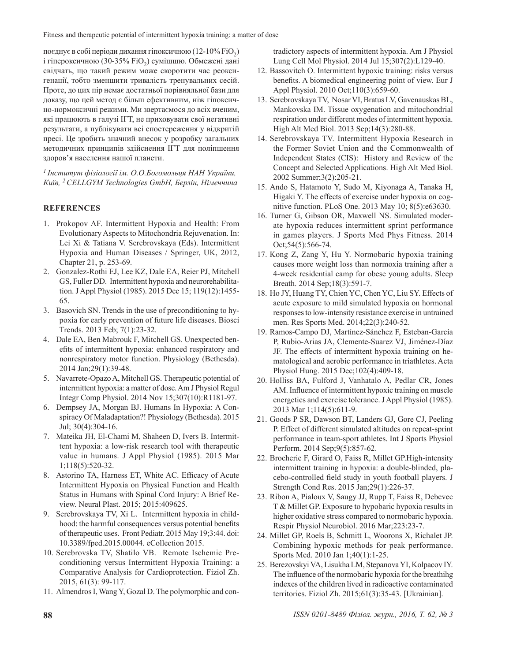поєднує в собі періоди дихання гіпоксичною (12-10% FiO2) і гіпероксичною (30-35% FiO<sub>2</sub>) сумішшю. Обмежені дані свідчать, що такий режим може скоротити час реоксигенації, тобто зменшити тривалість тренувальних сесій. Проте, до цих пір немає достатньої порівняльної бази для доказу, що цей метод є більш ефективним, ніж гіпоксично-нормоксичні режими. Ми звертаємося до всіх вченим, які працюють в галузі ІГТ, не приховувати свої негативні результати, а публікувати всі спостереження у відкритій пресі. Це зробить значний внесок у розробку загальних методичних принципів здійснення ІГТ для поліпшення здоров'я населення нашої планети.

*<sup>1</sup>Інститут фізіології ім. О.О.Богомольця НАН України, Київ, <sup>2</sup>CELLGYM Technologies GmbH, Берлін, Німеччина*

#### **REFERENCES**

- 1. Prokopov AF. Intermittent Hypoxia and Health: From Evolutionary Aspects to Mitochondria Rejuvenation. In: Lei Xi & Tatiana V. Serebrovskaya (Eds). Intermittent Hypoxia and Human Diseases / Springer, UK, 2012, Chapter 21, p. 253-69.
- 2. Gonzalez-Rothi EJ, Lee KZ, Dale EA, Reier PJ, Mitchell GS, Fuller DD. Intermittent hypoxia and neurorehabilitation. J Appl Physiol (1985). 2015 Dec 15; 119(12):1455- 65.
- 3. Basovich SN. Trends in the use of preconditioning to hypoxia for early prevention of future life diseases. Biosci Trends. 2013 Feb; 7(1):23-32.
- 4. Dale EA, Ben Mabrouk F, Mitchell GS. Unexpected benefits of intermittent hypoxia: enhanced respiratory and nonrespiratory motor function. Physiology (Bethesda). 2014 Jan;29(1):39-48.
- 5. Navarrete-Opazo A, Mitchell GS. Therapeutic potential of intermittent hypoxia: a matter of dose. Am J Physiol Regul Integr Comp Physiol. 2014 Nov 15;307(10):R1181-97.
- 6. Dempsey JA, Morgan BJ. Humans In Hypoxia: A Conspiracy Of Maladaptation?! Physiology (Bethesda). 2015 Jul; 30(4):304-16.
- 7. Mateika JH, El-Chami M, Shaheen D, Ivers B. Intermittent hypoxia: a low-risk research tool with therapeutic value in humans. J Appl Physiol (1985). 2015 Mar 1;118(5):520-32.
- 8. Astorino TA, Harness ET, White AC. Efficacy of Acute Intermittent Hypoxia on Physical Function and Health Status in Humans with Spinal Cord Injury: A Brief Review. Neural Plast. 2015; 2015:409625.
- 9. Serebrovskaya TV, Xi L. Intermittent hypoxia in childhood: the harmful consequences versus potential benefits of therapeutic uses. Front Pediatr. 2015 May 19;3:44. doi: 10.3389/fped.2015.00044. eCollection 2015.
- 10. Serebrovska TV, Shatilo VB. Remote Ischemic Preconditioning versus Intermittent Hypoxia Training: a Comparative Analysis for Cardioprotection. Fiziol Zh. 2015, 61(3): 99-117.
- 11. Almendros I, Wang Y, Gozal D. The polymorphic and con-

tradictory aspects of intermittent hypoxia. Am J Physiol Lung Cell Mol Physiol. 2014 Jul 15;307(2):L129-40.

- 12. Bassovitch O. Intermittent hypoxic training: risks versus benefits. A biomedical engineering point of view. Eur J Appl Physiol. 2010 Oct;110(3):659-60.
- 13. Serebrovskaya TV, Nosar VI, Bratus LV, Gavenauskas BL, Mankovska IM. Tissue oxygenation and mitochondrial respiration under different modes of intermittent hypoxia. High Alt Med Biol. 2013 Sep;14(3):280-88.
- 14. Serebrovskaya TV. Intermittent Hypoxia Research in the Former Soviet Union and the Commonwealth of Independent States (CIS): History and Review of the Concept and Selected Applications. High Alt Med Biol. 2002 Summer;3(2):205-21.
- 15. Ando S, Hatamoto Y, Sudo M, Kiyonaga A, Tanaka H, Higaki Y. The effects of exercise under hypoxia on cognitive function. PLoS One. 2013 May 10; 8(5):e63630.
- 16. Turner G, Gibson OR, Maxwell NS. Simulated moderate hypoxia reduces intermittent sprint performance in games players. J Sports Med Phys Fitness. 2014 Oct;54(5):566-74.
- 17. Kong Z, Zang Y, Hu Y. Normobaric hypoxia training causes more weight loss than normoxia training after a 4-week residential camp for obese young adults. Sleep Breath. 2014 Sep;18(3):591-7.
- 18. Ho JY, Huang TY, Chien YC, Chen YC, Liu SY. Effects of acute exposure to mild simulated hypoxia on hormonal responses to low-intensity resistance exercise in untrained men. Res Sports Med. 2014;22(3):240-52.
- 19. Ramos-Campo DJ, Martínez-Sánchez F, Esteban-García P, Rubio-Arias JA, Clemente-Suarez VJ, Jiménez-Díaz JF. The effects of intermittent hypoxia training on hematological and aerobic performance in triathletes. Acta Physiol Hung. 2015 Dec;102(4):409-18.
- 20. Holliss BA, Fulford J, Vanhatalo A, Pedlar CR, Jones AM. Influence of intermittent hypoxic training on muscle energetics and exercise tolerance. J Appl Physiol (1985). 2013 Mar 1;114(5):611-9.
- 21. Goods P SR, Dawson BT, Landers GJ, Gore CJ, Peeling P. Effect of different simulated altitudes on repeat-sprint performance in team-sport athletes. Int J Sports Physiol Perform. 2014 Sep;9(5):857-62.
- 22. Brocherie F, Girard O, Faiss R, Millet GP.High-intensity intermittent training in hypoxia: a double-blinded, placebo-controlled field study in youth football players. J Strength Cond Res. 2015 Jan;29(1):226-37.
- 23. Ribon A, Pialoux V, Saugy JJ, Rupp T, Faiss R, Debevec T & Millet GP. Exposure to hypobaric hypoxia results in higher oxidative stress compared to normobaric hypoxia. Respir Physiol Neurobiol. 2016 Mar;223:23-7.
- 24. Millet GP, Roels B, Schmitt L, Woorons X, Richalet JP. Combining hypoxic methods for peak performance. Sports Med. 2010 Jan 1;40(1):1-25.
- 25. Berezovskyi VA, Lisukha LM, Stepanova YI, Kolpacov IY. The influence of the normobaric hypoxia for the breathihg indexes of the children lived in radioactive contaminated territories. Fiziol Zh. 2015;61(3):35-43. [Ukrainian].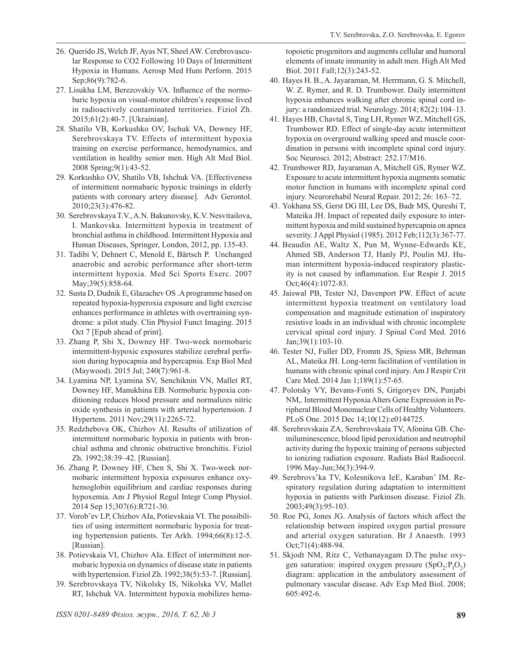- 26. Querido JS, Welch JF, Ayas NT, Sheel AW. Cerebrovascular Response to CO2 Following 10 Days of Intermittent Hypoxia in Humans. Aerosp Med Hum Perform. 2015 Sep;86(9):782-6.
- 27. Lisukha LM, Berezovskiy VA. Influence of the normobaric hypoxia on visual-motor children's response lived in radioactively contaminated territories. Fiziol Zh. 2015;61(2):40-7. [Ukrainian].
- 28. Shatilo VB, Korkushko OV, Ischuk VA, Downey HF, Serebrovskaya TV. Effects of intermittent hypoxia training on exercise performance, hemodynamics, and ventilation in healthy senior men. High Alt Med Biol. 2008 Spring;9(1):43-52.
- 29. Korkushko OV, Shatilo VB, Ishchuk VA. [Effectiveness of intermittent normabaric hypoxic trainings in elderly patients with coronary artery disease]. Adv Gerontol. 2010;23(3):476-82.
- 30. Serebrovskaya T.V., A.N. Bakunovsky, K.V. Nesvitailova, I. Mankovska. Intermittent hypoxia in treatment of bronchial asthma in childhood. Intermittent Hypoxia and Human Diseases, Springer, London, 2012, pp. 135-43.
- 31. Tadibi V, Dehnert C, Menold E, Bärtsch P. Unchanged anaerobic and aerobic performance after short-term intermittent hypoxia. Med Sci Sports Exerc. 2007 May;39(5):858-64.
- 32. Susta D, Dudnik E, Glazachev OS .A programme based on repeated hypoxia-hyperoxia exposure and light exercise enhances performance in athletes with overtraining syndrome: a pilot study. Clin Physiol Funct Imaging. 2015 Oct 7 [Epub ahead of print].
- 33. Zhang P, Shi X, Downey HF. Two-week normobaric intermittent-hypoxic exposures stabilize cerebral perfusion during hypocapnia and hypercapnia. Exp Biol Med (Maywood). 2015 Jul; 240(7):961-8.
- 34. Lyamina NP, Lyamina SV, Senchiknin VN, Mallet RT, Downey HF, Manukhina EB. Normobaric hypoxia conditioning reduces blood pressure and normalizes nitric oxide synthesis in patients with arterial hypertension. J Hypertens. 2011 Nov;29(11):2265-72.
- 35. Redzhebova OK, Chizhov AI. Results of utilization of intermittent normobaric hypoxia in patients with bronchial asthma and chronic obstructive bronchitis. Fiziol Zh. 1992;38:39–42. [Russian].
- 36. Zhang P, Downey HF, Chen S, Shi X. Two-week normobaric intermittent hypoxia exposures enhance oxyhemoglobin equilibrium and cardiac responses during hypoxemia. Am J Physiol Regul Integr Comp Physiol. 2014 Sep 15;307(6):R721-30.
- 37. Vorob'ev LP, Chizhov AIa, Potievskaia VI. The possibilities of using intermittent normobaric hypoxia for treating hypertension patients. Ter Arkh. 1994;66(8):12-5. [Russian].
- 38. Potievskaia VI, Chizhov AIa. Effect of intermittent normobaric hypoxia on dynamics of disease state in patients with hypertension. Fiziol Zh. 1992;38(5):53-7. [Russian].
- 39. Serebrovskaya TV, Nikolsky IS, Nikolska VV, Mallet RT, Ishchuk VA. Intermittent hypoxia mobilizes hema-

topoietic progenitors and augments cellular and humoral elements of innate immunity in adult men. High Alt Med Biol. 2011 Fall;12(3):243-52.

- 40. Hayes H. B., A. Jayaraman, M. Herrmann, G. S. Mitchell, W. Z. Rymer, and R. D. Trumbower. Daily intermittent hypoxia enhances walking after chronic spinal cord injury: a randomized trial. Neurology. 2014; 82(2):104–13.
- 41. Hayes HB, Chavtal S, Ting LH, Rymer WZ, Mitchell GS, Trumbower RD. Effect of single-day acute intermittent hypoxia on overground walking speed and muscle coordination in persons with incomplete spinal cord injury. Soc Neurosci. 2012; Abstract: 252.17/M16.
- 42. Trumbower RD, Jayaraman A, Mitchell GS, Rymer WZ. Exposure to acute intermittent hypoxia augments somatic motor function in humans with incomplete spinal cord injury. Neurorehabil Neural Repair. 2012; 26: 163–72.
- 43. Yokhana SS, Gerst DG III, Lee DS, Badr MS, Qureshi T, Mateika JH. Impact of repeated daily exposure to intermittent hypoxia and mild sustained hypercapnia on apnea severity. J Appl Physiol (1985). 2012 Feb; 112(3): 367-77.
- 44. Beaudin AE, Waltz X, Pun M, Wynne-Edwards KE, Ahmed SB, Anderson TJ, Hanly PJ, Poulin MJ. Human intermittent hypoxia-induced respiratory plasticity is not caused by inflammation. Eur Respir J. 2015 Oct;46(4):1072-83.
- 45. Jaiswal PB, Tester NJ, Davenport PW. Effect of acute intermittent hypoxia treatment on ventilatory load compensation and magnitude estimation of inspiratory resistive loads in an individual with chronic incomplete cervical spinal cord injury. J Spinal Cord Med. 2016 Jan;39(1):103-10.
- 46. Tester NJ, Fuller DD, Fromm JS, Spiess MR, Behrman AL, Mateika JH. Long-term facilitation of ventilation in humans with chronic spinal cord injury. Am J Respir Crit Care Med. 2014 Jan 1;189(1):57-65.
- 47. Polotsky VY, Bevans-Fonti S, Grigoryev DN, Punjabi NM,. Intermittent Hypoxia Alters Gene Expression in Peripheral Blood Mononuclear Cells of Healthy Volunteers. PLoS One. 2015 Dec 14;10(12):e0144725.
- 48. Serebrovskaia ZA, Serebrovskaia TV, Afonina GB. Chemiluminescence, blood lipid peroxidation and neutrophil activity during the hypoxic training of persons subjected to ionizing radiation exposure. Radiats Biol Radioecol. 1996 May-Jun;36(3):394-9.
- 49. Serebrovs'ka TV, Kolesnikova IeE, Karaban' IM. Respiratory regulation during adaptation to intermittent hypoxia in patients with Parkinson disease. Fiziol Zh. 2003;49(3):95-103.
- 50. Roe PG, Jones JG. Analysis of factors which affect the relationship between inspired oxygen partial pressure and arterial oxygen saturation. Br J Anaesth. 1993 Oct;71(4):488-94.
- 51. Skjodt NM, Ritz C, Vethanayagam D.The pulse oxygen saturation: inspired oxygen pressure  $(SpO_2:P_1O_2)$ diagram: application in the ambulatory assessment of pulmonary vascular disease. Adv Exp Med Biol. 2008; 605:492-6.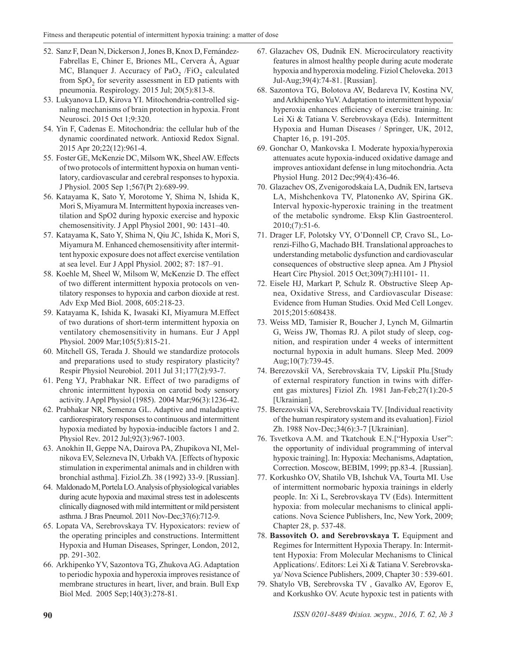- 52. Sanz F, Dean N, Dickerson J, Jones B, Knox D, Fernández-Fabrellas E, Chiner E, Briones ML, Cervera Á, Aguar MC, Blanquer J. Accuracy of PaO<sub>2</sub> /FiO<sub>2</sub> calculated from SpO<sub>2</sub> for severity assessment in ED patients with pneumonia. Respirology. 2015 Jul; 20(5):813-8.
- 53. Lukyanova LD, Kirova YI. Mitochondria-controlled signaling mechanisms of brain protection in hypoxia. Front Neurosci. 2015 Oct 1;9:320.
- 54. Yin F, Cadenas E. Mitochondria: the cellular hub of the dynamic coordinated network. Antioxid Redox Signal. 2015 Apr 20;22(12):961-4.
- 55. Foster GE, McKenzie DC, Milsom WK, Sheel AW. Effects of two protocols of intermittent hypoxia on human ventilatory, cardiovascular and cerebral responses to hypoxia. J Physiol. 2005 Sep 1;567(Pt 2):689-99.
- 56. Katayama K, Sato Y, Morotome Y, Shima N, Ishida K, Mori S, Miyamura M. Intermittent hypoxia increases ventilation and SpO2 during hypoxic exercise and hypoxic chemosensitivity. J Appl Physiol 2001, 90: 1431–40.
- 57. Katayama K, Sato Y, Shima N, Qiu JC, Ishida K, Mori S, Miyamura M. Enhanced chemosensitivity after intermittent hypoxic exposure does not affect exercise ventilation at sea level. Eur J Appl Physiol. 2002; 87: 187–91.
- 58. Koehle M, Sheel W, Milsom W, McKenzie D. The effect of two different intermittent hypoxia protocols on ventilatory responses to hypoxia and carbon dioxide at rest. Adv Exp Med Biol. 2008, 605:218-23.
- 59. Katayama K, Ishida K, Iwasaki KI, Miyamura M.Effect of two durations of short-term intermittent hypoxia on ventilatory chemosensitivity in humans. Eur J Appl Physiol. 2009 Mar;105(5):815-21.
- 60. Mitchell GS, Terada J. Should we standardize protocols and preparations used to study respiratory plasticity? Respir Physiol Neurobiol. 2011 Jul 31;177(2):93-7.
- 61. Peng YJ, Prabhakar NR. Effect of two paradigms of chronic intermittent hypoxia on carotid body sensory activity. J Appl Physiol (1985). 2004 Mar;96(3):1236-42.
- 62. Prabhakar NR, Semenza GL. Adaptive and maladaptive cardiorespiratory responses to continuous and intermittent hypoxia mediated by hypoxia-inducible factors 1 and 2. Physiol Rev. 2012 Jul;92(3):967-1003.
- 63. Anokhin II, Geppe NA, Dairova PA, Zhupikova NI, Melnikova EV, Selezneva IN, Urbakh VA. [Effects of hypoxic stimulation in experimental animals and in children with bronchial asthma]. Fiziol.Zh. 38 (1992) 33-9. [Russian].
- 64. Maldonado M, Portela LO. Analysis of physiological variables during acute hypoxia and maximal stress test in adolescents clinically diagnosed with mild intermittent or mild persistent asthma. J Bras Pneumol. 2011 Nov-Dec;37(6):712-9.
- 65. Lopata VA, Serebrovskaya TV. Hypoxicators: review of the operating principles and constructions. Intermittent Hypoxia and Human Diseases, Springer, London, 2012, pp. 291-302.
- 66. Arkhipenko YV, Sazontova TG, Zhukova AG. Adaptation to periodic hypoxia and hyperoxia improves resistance of membrane structures in heart, liver, and brain. Bull Exp Biol Med. 2005 Sep;140(3):278-81.
- 67. Glazachev OS, Dudnik EN. Microcirculatory reactivity features in almost healthy people during acute moderate hypoxia and hyperoxia modeling. Fiziol Cheloveka. 2013 Jul-Aug;39(4):74-81. [Russian].
- 68. Sazontova TG, Bolotova AV, Bedareva IV, Kostina NV, and Arkhipenko YuV. Adaptation to intermittent hypoxia/ hyperoxia enhances efficiency of exercise training. In: Lei Xi & Tatiana V. Serebrovskaya (Eds). Intermittent Hypoxia and Human Diseases / Springer, UK, 2012, Chapter 16, p. 191-205.
- 69. Gonchar O, Mankovska I. Moderate hypoxia/hyperoxia attenuates acute hypoxia-induced oxidative damage and improves antioxidant defense in lung mitochondria. Acta Physiol Hung. 2012 Dec;99(4):436-46.
- 70. Glazachev OS, Zvenigorodskaia LA, Dudnik EN, Iartseva LA, Mishchenkova TV, Platonenko AV, Spirina GK. Interval hypoxic-hyperoxic training in the treatment of the metabolic syndrome. Eksp Klin Gastroenterol. 2010;(7):51-6.
- 71. Drager LF, Polotsky VY, O'Donnell CP, Cravo SL, Lorenzi-Filho G, Machado BH. Translational approaches to understanding metabolic dysfunction and cardiovascular consequences of obstructive sleep apnea. Am J Physiol Heart Circ Physiol. 2015 Oct;309(7):H1101- 11.
- 72. Eisele HJ, Markart P, Schulz R. Obstructive Sleep Apnea, Oxidative Stress, and Cardiovascular Disease: Evidence from Human Studies. Oxid Med Cell Longev. 2015;2015:608438.
- 73. Weiss MD, Tamisier R, Boucher J, Lynch M, Gilmartin G, Weiss JW, Thomas RJ. A pilot study of sleep, cognition, and respiration under 4 weeks of intermittent nocturnal hypoxia in adult humans. Sleep Med. 2009 Aug;10(7):739-45.
- 74. Berezovskiĭ VA, Serebrovskaia TV, Lipskiĭ PIu.[Study of external respiratory function in twins with different gas mixtures] Fiziol Zh. 1981 Jan-Feb;27(1):20-5 [Ukrainian].
- 75. Berezovskii VA, Serebrovskaia TV. [Individual reactivity of the human respiratory system and its evaluation]. Fiziol Zh. 1988 Nov-Dec;34(6):3-7 [Ukrainian].
- 76. Tsvetkova A.M. and Tkatchouk E.N.["Hypoxia User": the opportunity of individual programming of interval hypoxic training]. In: Hypoxia: Mechanisms, Adaptation, Correction. Moscow, BEBIM, 1999; pp.83-4. [Russian].
- 77. Korkushko OV, Shatilo VB, Ishchuk VA, Tourta MI. Use of intermittent normobaric hypoxia trainings in elderly people. In: Xi L, Serebrovskaya TV (Eds). Intermittent hypoxia: from molecular mechanisms to clinical applications. Nova Science Publishers, Inc, New York, 2009; Chapter 28, p. 537-48.
- 78. **Bassovitch O. and Serebrovskaya T.** Equipment and Regimes for Intermittent Hypoxia Therapy. In: Intermittent Hypoxia: From Molecular Mechanisms to Clinical Applications/. Editors: Lei Xi & Tatiana V. Serebrovskaya/ Nova Science Publishers, 2009, Chapter 30 : 539-601.
- 79. Shatylo VB, Serebrovska TV , Gavalko AV, Egorov E, and Korkushko OV. Acute hypoxic test in patients with